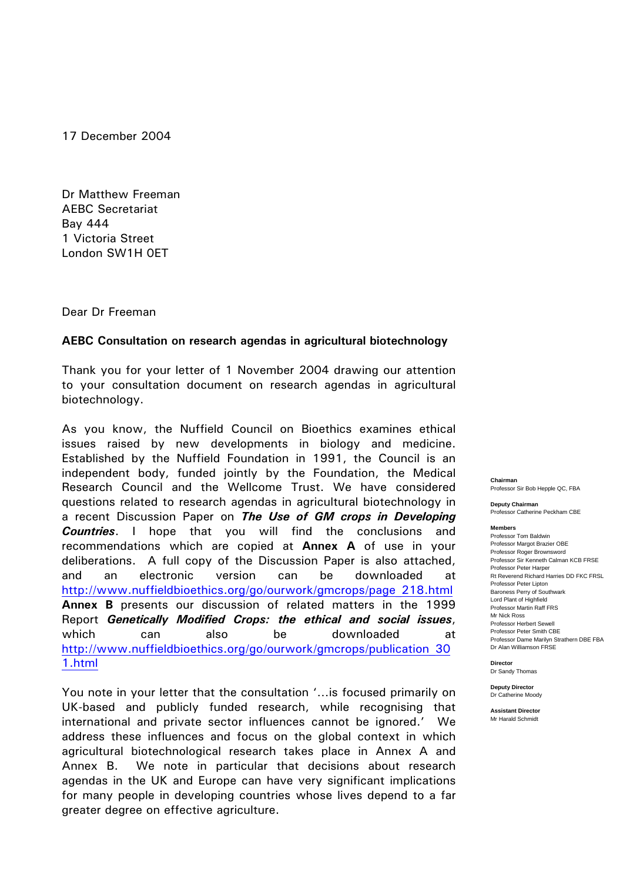17 December 2004

Dr Matthew Freeman AEBC Secretariat Bay 444 1 Victoria Street London SW1H 0ET

Dear Dr Freeman

#### **AEBC Consultation on research agendas in agricultural biotechnology**

Thank you for your letter of 1 November 2004 drawing our attention to your consultation document on research agendas in agricultural biotechnology.

As you know, the Nuffield Council on Bioethics examines ethical issues raised by new developments in biology and medicine. Established by the Nuffield Foundation in 1991, the Council is an independent body, funded jointly by the Foundation, the Medical Research Council and the Wellcome Trust. We have considered questions related to research agendas in agricultural biotechnology in a recent Discussion Paper on *The Use of GM crops in Developing Countries*. I hope that you will find the conclusions and recommendations which are copied at **Annex A** of use in your deliberations. A full copy of the Discussion Paper is also attached, and an electronic version can be downloaded at http://www.nuffieldbioethics.org/go/ourwork/gmcrops/page\_218.html **Annex B** presents our discussion of related matters in the 1999 Report *Genetically Modified Crops: the ethical and social issues*, which can also be downloaded at http://www.nuffieldbioethics.org/go/ourwork/gmcrops/publication\_30 1.html

You note in your letter that the consultation '…is focused primarily on UK-based and publicly funded research, while recognising that international and private sector influences cannot be ignored.' We address these influences and focus on the global context in which agricultural biotechnological research takes place in Annex A and Annex B. We note in particular that decisions about research agendas in the UK and Europe can have very significant implications for many people in developing countries whose lives depend to a far greater degree on effective agriculture.

**Chairman**  Professor Sir Bob Hepple QC, FBA

**Deputy Chairman**  Professor Catherine Peckham CBE

#### **Members**

Professor Tom Baldwin Professor Margot Brazier OBE Professor Roger Brownsword Professor Sir Kenneth Calman KCB FRSE Professor Peter Harper Rt Reverend Richard Harries DD FKC FRSL Professor Peter Lipton Baroness Perry of Southwark Lord Plant of Highfield Professor Martin Raff FRS Mr Nick Ross Professor Herbert Sewell Professor Peter Smith CBE Professor Dame Marilyn Strathern DBE FBA Dr Alan Williamson FRSE

**Director**  Dr Sandy Thomas

**Deputy Director**  Dr Catherine Moody

**Assistant Director**  Mr Harald Schmidt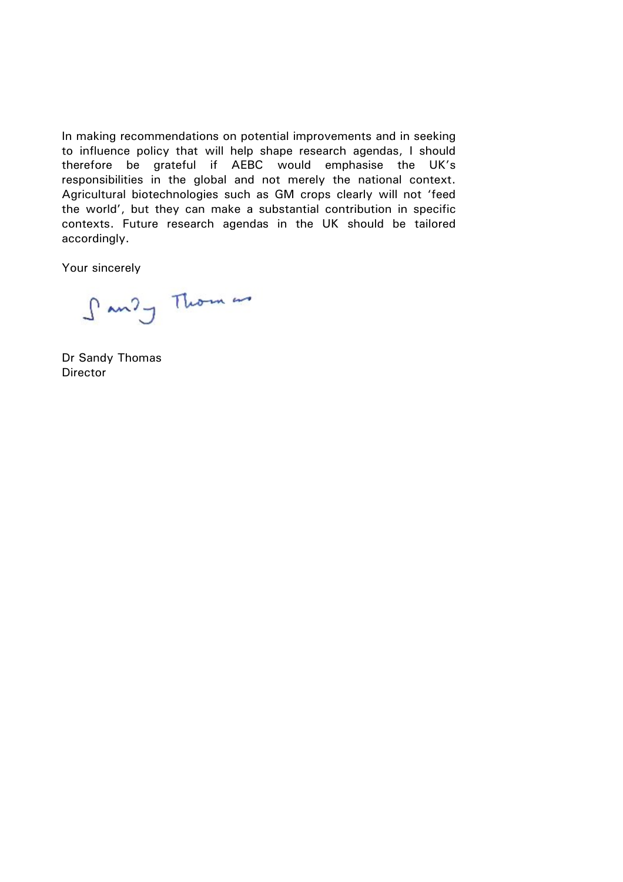In making recommendations on potential improvements and in seeking to influence policy that will help shape research agendas, I should therefore be grateful if AEBC would emphasise the UK's responsibilities in the global and not merely the national context. Agricultural biotechnologies such as GM crops clearly will not 'feed the world', but they can make a substantial contribution in specific contexts. Future research agendas in the UK should be tailored accordingly.

Your sincerely

Sandy Thomas

Dr Sandy Thomas **Director**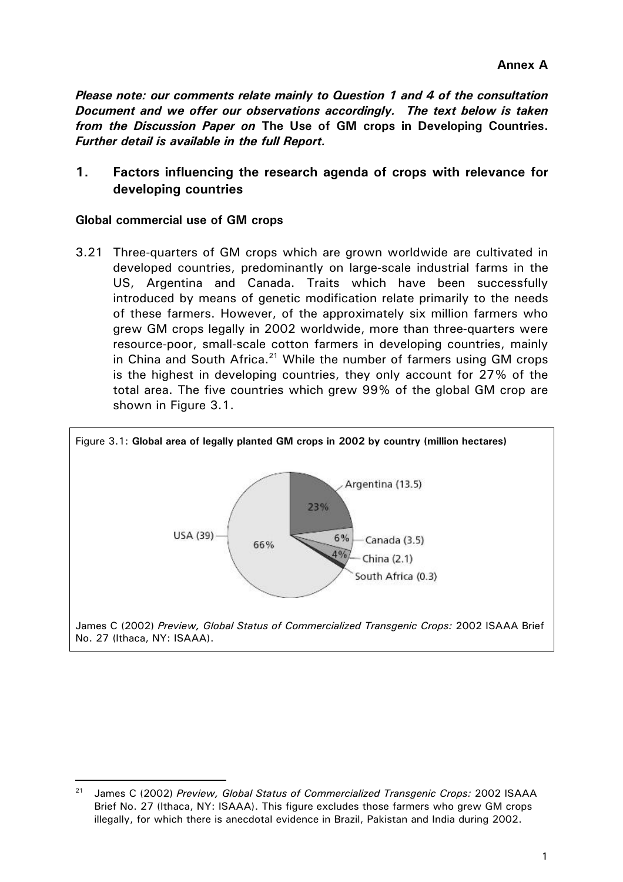*Please note: our comments relate mainly to Question 1 and 4 of the consultation Document and we offer our observations accordingly. The text below is taken from the Discussion Paper on* **The Use of GM crops in Developing Countries.** *Further detail is available in the full Report.* 

**1. Factors influencing the research agenda of crops with relevance for developing countries** 

#### **Global commercial use of GM crops**

3.21 Three-quarters of GM crops which are grown worldwide are cultivated in developed countries, predominantly on large-scale industrial farms in the US, Argentina and Canada. Traits which have been successfully introduced by means of genetic modification relate primarily to the needs of these farmers. However, of the approximately six million farmers who grew GM crops legally in 2002 worldwide, more than three-quarters were resource-poor, small-scale cotton farmers in developing countries, mainly in China and South Africa. $21$  While the number of farmers using GM crops is the highest in developing countries, they only account for 27% of the total area. The five countries which grew 99% of the global GM crop are shown in Figure 3.1.



<sup>21</sup> James C (2002) *Preview, Global Status of Commercialized Transgenic Crops:* 2002 ISAAA Brief No. 27 (Ithaca, NY: ISAAA). This figure excludes those farmers who grew GM crops illegally, for which there is anecdotal evidence in Brazil, Pakistan and India during 2002.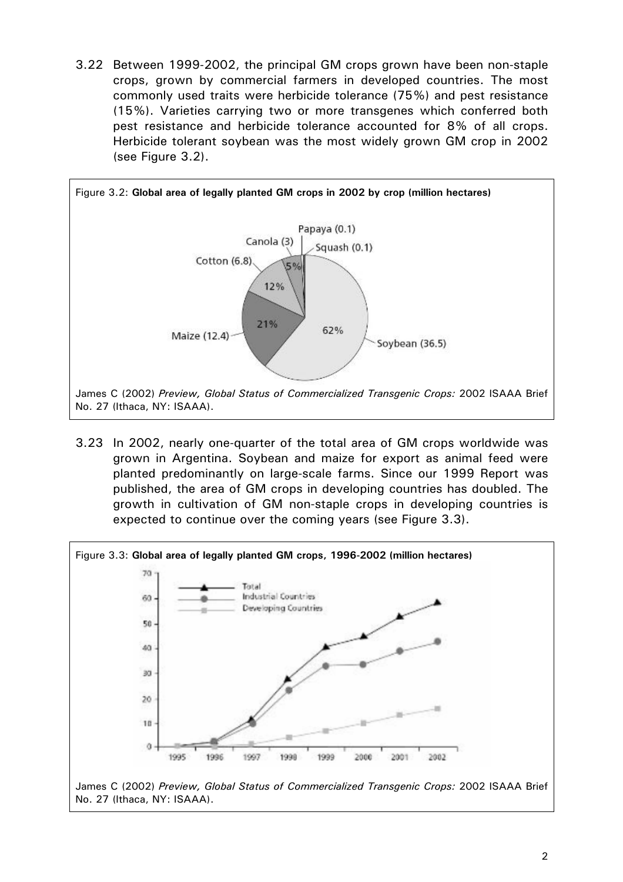3.22 Between 1999-2002, the principal GM crops grown have been non-staple crops, grown by commercial farmers in developed countries. The most commonly used traits were herbicide tolerance (75%) and pest resistance (15%). Varieties carrying two or more transgenes which conferred both pest resistance and herbicide tolerance accounted for 8% of all crops. Herbicide tolerant soybean was the most widely grown GM crop in 2002 (see Figure 3.2).



3.23 In 2002, nearly one-quarter of the total area of GM crops worldwide was grown in Argentina. Soybean and maize for export as animal feed were planted predominantly on large-scale farms. Since our 1999 Report was published, the area of GM crops in developing countries has doubled. The growth in cultivation of GM non-staple crops in developing countries is expected to continue over the coming years (see Figure 3.3).

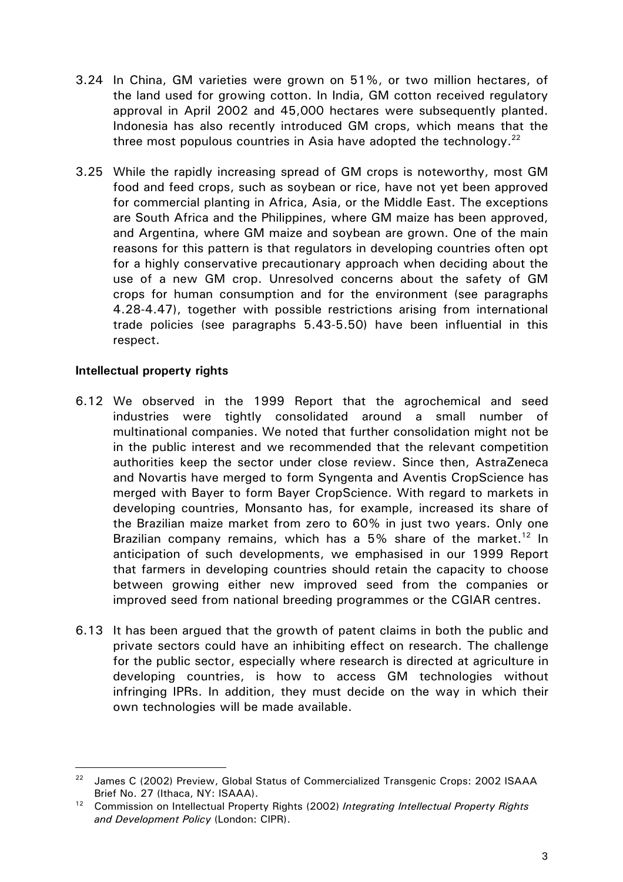- 3.24 In China, GM varieties were grown on 51%, or two million hectares, of the land used for growing cotton. In India, GM cotton received regulatory approval in April 2002 and 45,000 hectares were subsequently planted. Indonesia has also recently introduced GM crops, which means that the three most populous countries in Asia have adopted the technology.<sup>22</sup>
- 3.25 While the rapidly increasing spread of GM crops is noteworthy, most GM food and feed crops, such as soybean or rice, have not yet been approved for commercial planting in Africa, Asia, or the Middle East. The exceptions are South Africa and the Philippines, where GM maize has been approved, and Argentina, where GM maize and soybean are grown. One of the main reasons for this pattern is that regulators in developing countries often opt for a highly conservative precautionary approach when deciding about the use of a new GM crop. Unresolved concerns about the safety of GM crops for human consumption and for the environment (see paragraphs 4.28-4.47), together with possible restrictions arising from international trade policies (see paragraphs 5.43-5.50) have been influential in this respect.

### **Intellectual property rights**

- 6.12 We observed in the 1999 Report that the agrochemical and seed industries were tightly consolidated around a small number of multinational companies. We noted that further consolidation might not be in the public interest and we recommended that the relevant competition authorities keep the sector under close review. Since then, AstraZeneca and Novartis have merged to form Syngenta and Aventis CropScience has merged with Bayer to form Bayer CropScience. With regard to markets in developing countries, Monsanto has, for example, increased its share of the Brazilian maize market from zero to 60% in just two years. Only one Brazilian company remains, which has a 5% share of the market.<sup>12</sup> In anticipation of such developments, we emphasised in our 1999 Report that farmers in developing countries should retain the capacity to choose between growing either new improved seed from the companies or improved seed from national breeding programmes or the CGIAR centres.
- 6.13 It has been argued that the growth of patent claims in both the public and private sectors could have an inhibiting effect on research. The challenge for the public sector, especially where research is directed at agriculture in developing countries, is how to access GM technologies without infringing IPRs. In addition, they must decide on the way in which their own technologies will be made available.

<sup>&</sup>lt;sup>22</sup> James C (2002) Preview, Global Status of Commercialized Transgenic Crops: 2002 ISAAA

Brief No. 27 (Ithaca, NY: ISAAA). 12 Commission on Intellectual Property Rights (2002) *Integrating Intellectual Property Rights and Development Policy* (London: CIPR).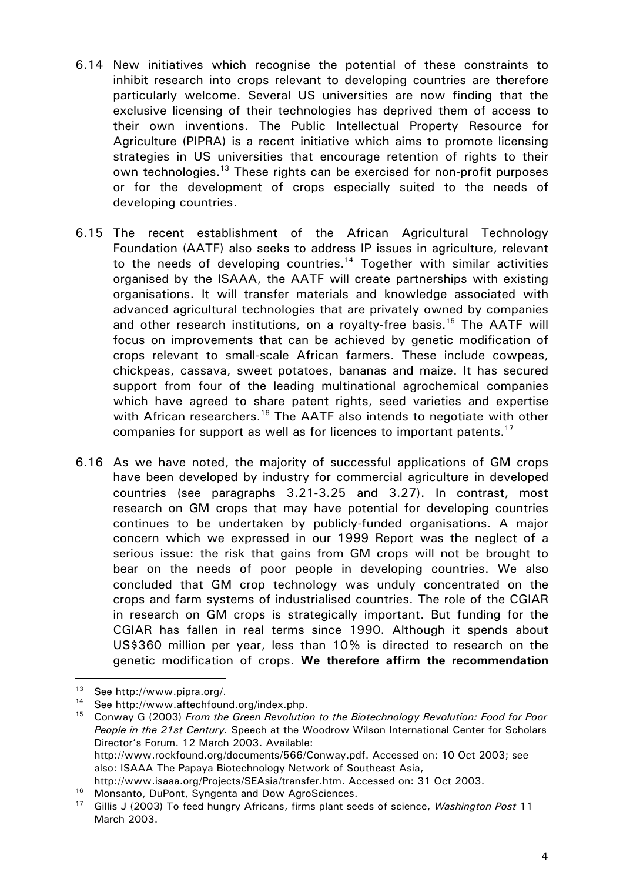- 6.14 New initiatives which recognise the potential of these constraints to inhibit research into crops relevant to developing countries are therefore particularly welcome. Several US universities are now finding that the exclusive licensing of their technologies has deprived them of access to their own inventions. The Public Intellectual Property Resource for Agriculture (PIPRA) is a recent initiative which aims to promote licensing strategies in US universities that encourage retention of rights to their own technologies.<sup>13</sup> These rights can be exercised for non-profit purposes or for the development of crops especially suited to the needs of developing countries.
- 6.15 The recent establishment of the African Agricultural Technology Foundation (AATF) also seeks to address IP issues in agriculture, relevant to the needs of developing countries.<sup>14</sup> Together with similar activities organised by the ISAAA, the AATF will create partnerships with existing organisations. It will transfer materials and knowledge associated with advanced agricultural technologies that are privately owned by companies and other research institutions, on a royalty-free basis.<sup>15</sup> The AATF will focus on improvements that can be achieved by genetic modification of crops relevant to small-scale African farmers. These include cowpeas, chickpeas, cassava, sweet potatoes, bananas and maize. It has secured support from four of the leading multinational agrochemical companies which have agreed to share patent rights, seed varieties and expertise with African researchers.<sup>16</sup> The AATF also intends to negotiate with other companies for support as well as for licences to important patents.<sup>17</sup>
- 6.16 As we have noted, the majority of successful applications of GM crops have been developed by industry for commercial agriculture in developed countries (see paragraphs 3.21-3.25 and 3.27). In contrast, most research on GM crops that may have potential for developing countries continues to be undertaken by publicly-funded organisations. A major concern which we expressed in our 1999 Report was the neglect of a serious issue: the risk that gains from GM crops will not be brought to bear on the needs of poor people in developing countries. We also concluded that GM crop technology was unduly concentrated on the crops and farm systems of industrialised countries. The role of the CGIAR in research on GM crops is strategically important. But funding for the CGIAR has fallen in real terms since 1990. Although it spends about US\$360 million per year, less than 10% is directed to research on the genetic modification of crops. **We therefore affirm the recommendation**

<sup>&</sup>lt;sup>13</sup> See http://www.pipra.org/.<br><sup>14</sup> See http://www.aftechfound.org/index.php.<br><sup>15</sup> Conway G (2003) *From the Green Revolution to the Biotechnology Revolution: Food for Poor People in the 21st Century.* Speech at the Woodrow Wilson International Center for Scholars Director's Forum. 12 March 2003. Available: http://www.rockfound.org/documents/566/Conway.pdf. Accessed on: 10 Oct 2003; see also: ISAAA The Papaya Biotechnology Network of Southeast Asia,

http://www.isaaa.org/Projects/SEAsia/transfer.htm. Accessed on: 31 Oct 2003.<br><sup>16</sup> Monsanto, DuPont, Syngenta and Dow AgroSciences.<br><sup>17</sup> Gillis J (2003) To feed hungry Africans, firms plant seeds of science, *Washington Pos* March 2003.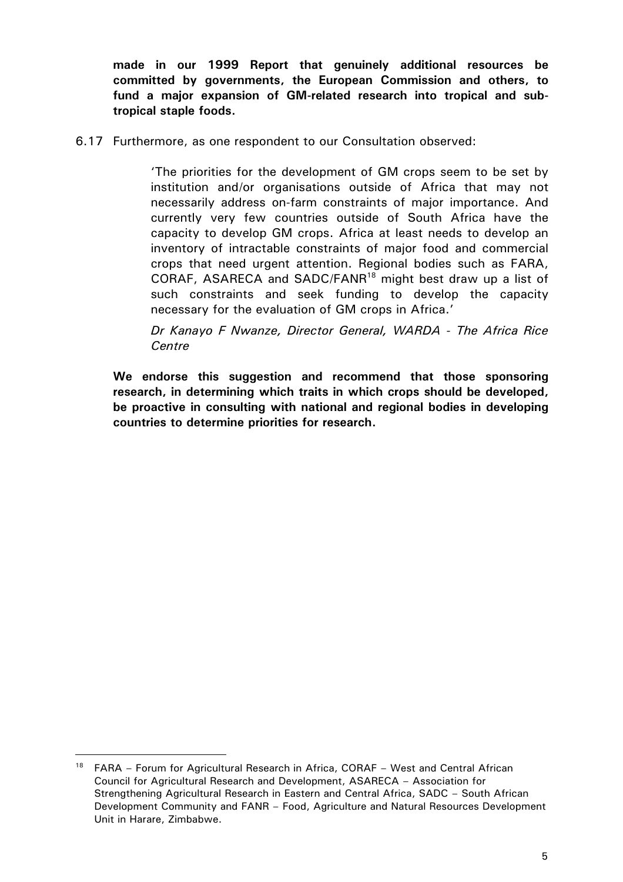**made in our 1999 Report that genuinely additional resources be committed by governments, the European Commission and others, to fund a major expansion of GM-related research into tropical and subtropical staple foods.**

6.17 Furthermore, as one respondent to our Consultation observed:

'The priorities for the development of GM crops seem to be set by institution and/or organisations outside of Africa that may not necessarily address on-farm constraints of major importance. And currently very few countries outside of South Africa have the capacity to develop GM crops. Africa at least needs to develop an inventory of intractable constraints of major food and commercial crops that need urgent attention. Regional bodies such as FARA, CORAF, ASARECA and SADC/FANR18 might best draw up a list of such constraints and seek funding to develop the capacity necessary for the evaluation of GM crops in Africa.'

*Dr Kanayo F Nwanze, Director General, WARDA - The Africa Rice Centre* 

**We endorse this suggestion and recommend that those sponsoring research, in determining which traits in which crops should be developed, be proactive in consulting with national and regional bodies in developing countries to determine priorities for research.** 

 $18$  FARA – Forum for Agricultural Research in Africa, CORAF – West and Central African Council for Agricultural Research and Development, ASARECA – Association for Strengthening Agricultural Research in Eastern and Central Africa, SADC – South African Development Community and FANR – Food, Agriculture and Natural Resources Development Unit in Harare, Zimbabwe.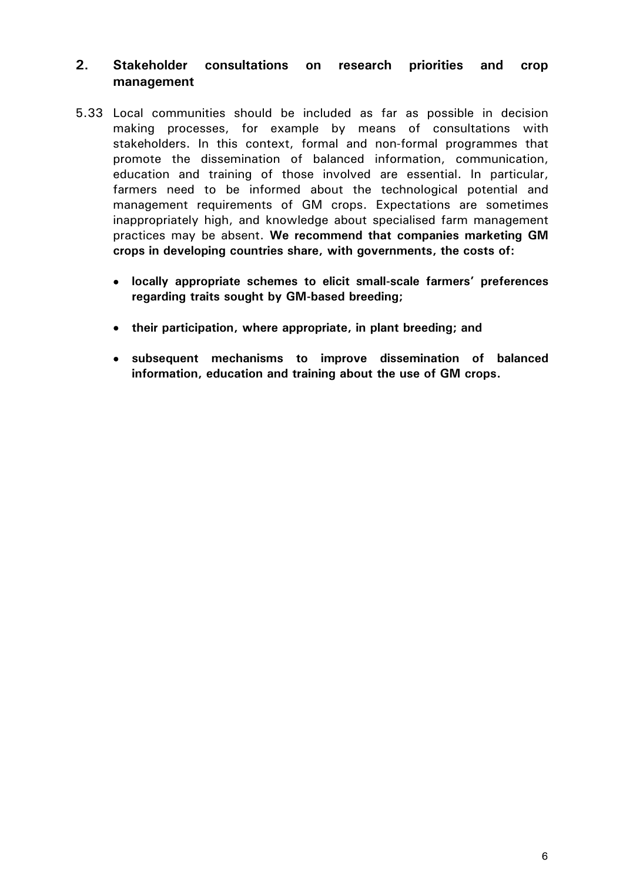# **2. Stakeholder consultations on research priorities and crop management**

- 5.33 Local communities should be included as far as possible in decision making processes, for example by means of consultations with stakeholders. In this context, formal and non-formal programmes that promote the dissemination of balanced information, communication, education and training of those involved are essential. In particular, farmers need to be informed about the technological potential and management requirements of GM crops. Expectations are sometimes inappropriately high, and knowledge about specialised farm management practices may be absent. **We recommend that companies marketing GM crops in developing countries share, with governments, the costs of:** 
	- **locally appropriate schemes to elicit small-scale farmers' preferences regarding traits sought by GM-based breeding;**
	- **their participation, where appropriate, in plant breeding; and**
	- **subsequent mechanisms to improve dissemination of balanced information, education and training about the use of GM crops.**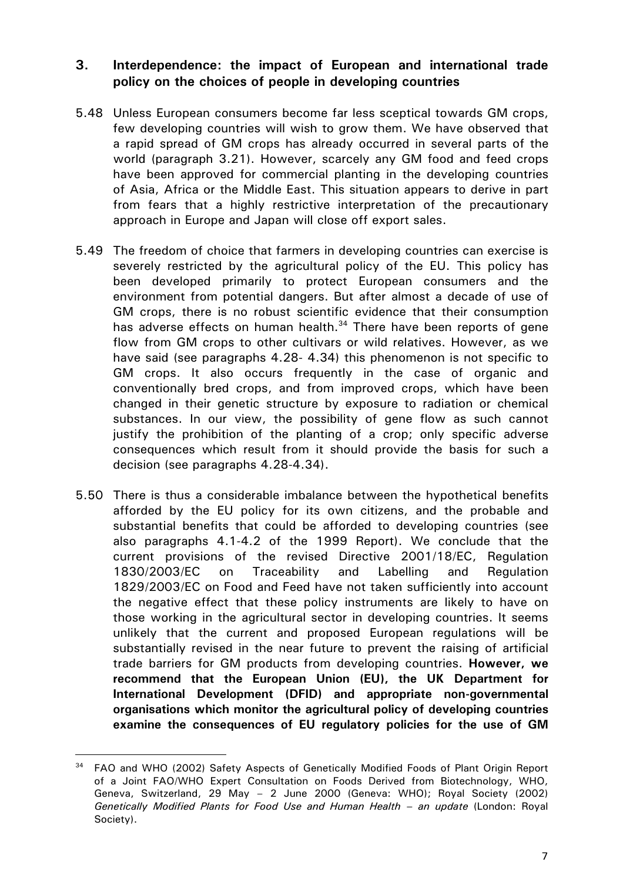# **3. Interdependence: the impact of European and international trade policy on the choices of people in developing countries**

- 5.48 Unless European consumers become far less sceptical towards GM crops, few developing countries will wish to grow them. We have observed that a rapid spread of GM crops has already occurred in several parts of the world (paragraph 3.21). However, scarcely any GM food and feed crops have been approved for commercial planting in the developing countries of Asia, Africa or the Middle East. This situation appears to derive in part from fears that a highly restrictive interpretation of the precautionary approach in Europe and Japan will close off export sales.
- 5.49 The freedom of choice that farmers in developing countries can exercise is severely restricted by the agricultural policy of the EU. This policy has been developed primarily to protect European consumers and the environment from potential dangers. But after almost a decade of use of GM crops, there is no robust scientific evidence that their consumption has adverse effects on human health. $34$  There have been reports of gene flow from GM crops to other cultivars or wild relatives. However, as we have said (see paragraphs 4.28- 4.34) this phenomenon is not specific to GM crops. It also occurs frequently in the case of organic and conventionally bred crops, and from improved crops, which have been changed in their genetic structure by exposure to radiation or chemical substances. In our view, the possibility of gene flow as such cannot justify the prohibition of the planting of a crop; only specific adverse consequences which result from it should provide the basis for such a decision (see paragraphs 4.28-4.34).
- 5.50 There is thus a considerable imbalance between the hypothetical benefits afforded by the EU policy for its own citizens, and the probable and substantial benefits that could be afforded to developing countries (see also paragraphs 4.1-4.2 of the 1999 Report). We conclude that the current provisions of the revised Directive 2001/18/EC, Regulation 1830/2003/EC on Traceability and Labelling and Regulation 1829/2003/EC on Food and Feed have not taken sufficiently into account the negative effect that these policy instruments are likely to have on those working in the agricultural sector in developing countries. It seems unlikely that the current and proposed European regulations will be substantially revised in the near future to prevent the raising of artificial trade barriers for GM products from developing countries. **However, we recommend that the European Union (EU), the UK Department for International Development (DFID) and appropriate non-governmental organisations which monitor the agricultural policy of developing countries examine the consequences of EU regulatory policies for the use of GM**

<sup>&</sup>lt;sup>34</sup> FAO and WHO (2002) Safety Aspects of Genetically Modified Foods of Plant Origin Report of a Joint FAO/WHO Expert Consultation on Foods Derived from Biotechnology, WHO, Geneva, Switzerland, 29 May – 2 June 2000 (Geneva: WHO); Royal Society (2002) *Genetically Modified Plants for Food Use and Human Health – an update* (London: Royal Society).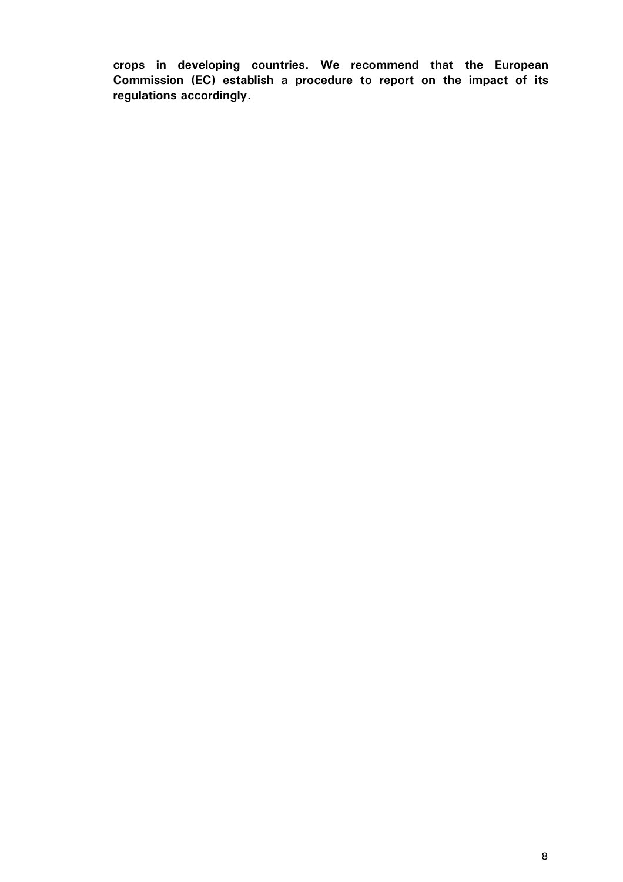**crops in developing countries. We recommend that the European Commission (EC) establish a procedure to report on the impact of its regulations accordingly.**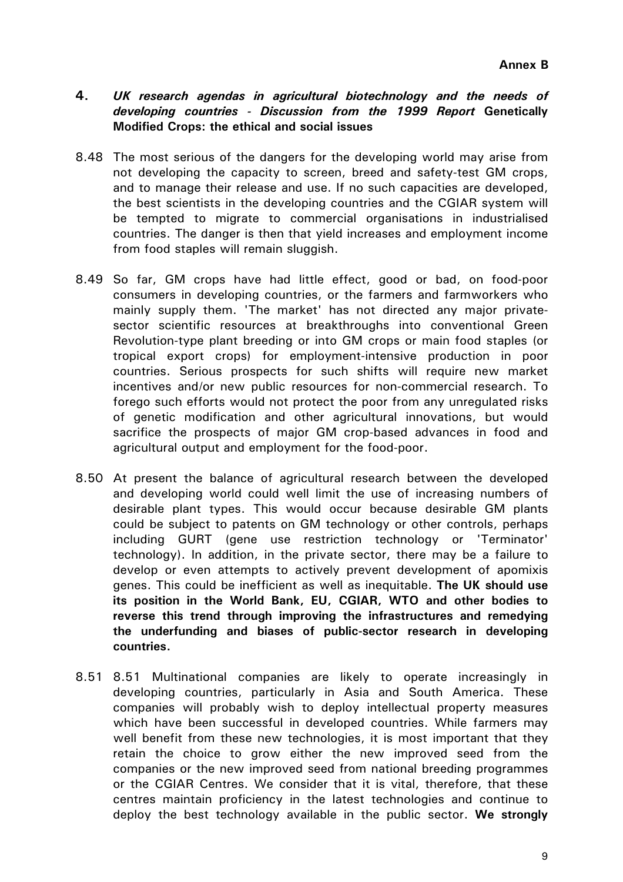#### **4.** *UK research agendas in agricultural biotechnology and the needs of developing countries - Discussion from the 1999 Report* **Genetically Modified Crops: the ethical and social issues**

- 8.48 The most serious of the dangers for the developing world may arise from not developing the capacity to screen, breed and safety-test GM crops, and to manage their release and use. If no such capacities are developed, the best scientists in the developing countries and the CGIAR system will be tempted to migrate to commercial organisations in industrialised countries. The danger is then that yield increases and employment income from food staples will remain sluggish.
- 8.49 So far, GM crops have had little effect, good or bad, on food-poor consumers in developing countries, or the farmers and farmworkers who mainly supply them. 'The market' has not directed any major privatesector scientific resources at breakthroughs into conventional Green Revolution-type plant breeding or into GM crops or main food staples (or tropical export crops) for employment-intensive production in poor countries. Serious prospects for such shifts will require new market incentives and/or new public resources for non-commercial research. To forego such efforts would not protect the poor from any unregulated risks of genetic modification and other agricultural innovations, but would sacrifice the prospects of major GM crop-based advances in food and agricultural output and employment for the food-poor.
- 8.50 At present the balance of agricultural research between the developed and developing world could well limit the use of increasing numbers of desirable plant types. This would occur because desirable GM plants could be subject to patents on GM technology or other controls, perhaps including GURT (gene use restriction technology or 'Terminator' technology). In addition, in the private sector, there may be a failure to develop or even attempts to actively prevent development of apomixis genes. This could be inefficient as well as inequitable. **The UK should use its position in the World Bank, EU, CGIAR, WTO and other bodies to reverse this trend through improving the infrastructures and remedying the underfunding and biases of public-sector research in developing countries.**
- 8.51 8.51 Multinational companies are likely to operate increasingly in developing countries, particularly in Asia and South America. These companies will probably wish to deploy intellectual property measures which have been successful in developed countries. While farmers may well benefit from these new technologies, it is most important that they retain the choice to grow either the new improved seed from the companies or the new improved seed from national breeding programmes or the CGIAR Centres. We consider that it is vital, therefore, that these centres maintain proficiency in the latest technologies and continue to deploy the best technology available in the public sector. **We strongly**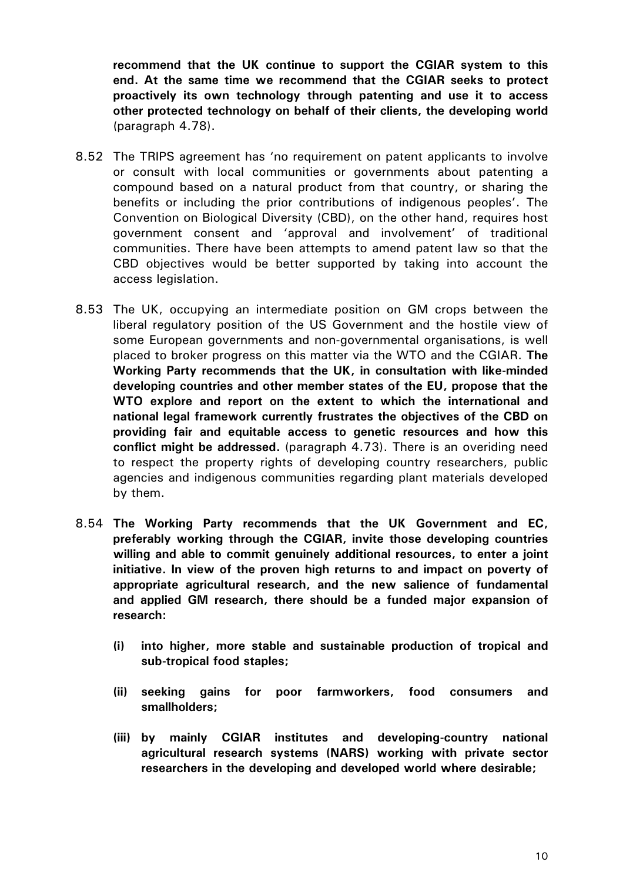**recommend that the UK continue to support the CGIAR system to this end. At the same time we recommend that the CGIAR seeks to protect proactively its own technology through patenting and use it to access other protected technology on behalf of their clients, the developing world**  (paragraph 4.78).

- 8.52 The TRIPS agreement has 'no requirement on patent applicants to involve or consult with local communities or governments about patenting a compound based on a natural product from that country, or sharing the benefits or including the prior contributions of indigenous peoples'. The Convention on Biological Diversity (CBD), on the other hand, requires host government consent and 'approval and involvement' of traditional communities. There have been attempts to amend patent law so that the CBD objectives would be better supported by taking into account the access legislation.
- 8.53 The UK, occupying an intermediate position on GM crops between the liberal regulatory position of the US Government and the hostile view of some European governments and non-governmental organisations, is well placed to broker progress on this matter via the WTO and the CGIAR. **The Working Party recommends that the UK, in consultation with like-minded developing countries and other member states of the EU, propose that the WTO explore and report on the extent to which the international and national legal framework currently frustrates the objectives of the CBD on providing fair and equitable access to genetic resources and how this conflict might be addressed.** (paragraph 4.73). There is an overiding need to respect the property rights of developing country researchers, public agencies and indigenous communities regarding plant materials developed by them.
- 8.54 **The Working Party recommends that the UK Government and EC, preferably working through the CGIAR, invite those developing countries willing and able to commit genuinely additional resources, to enter a joint initiative. In view of the proven high returns to and impact on poverty of appropriate agricultural research, and the new salience of fundamental and applied GM research, there should be a funded major expansion of research:** 
	- **(i) into higher, more stable and sustainable production of tropical and sub-tropical food staples;**
	- **(ii) seeking gains for poor farmworkers, food consumers and smallholders;**
	- **(iii) by mainly CGIAR institutes and developing-country national agricultural research systems (NARS) working with private sector researchers in the developing and developed world where desirable;**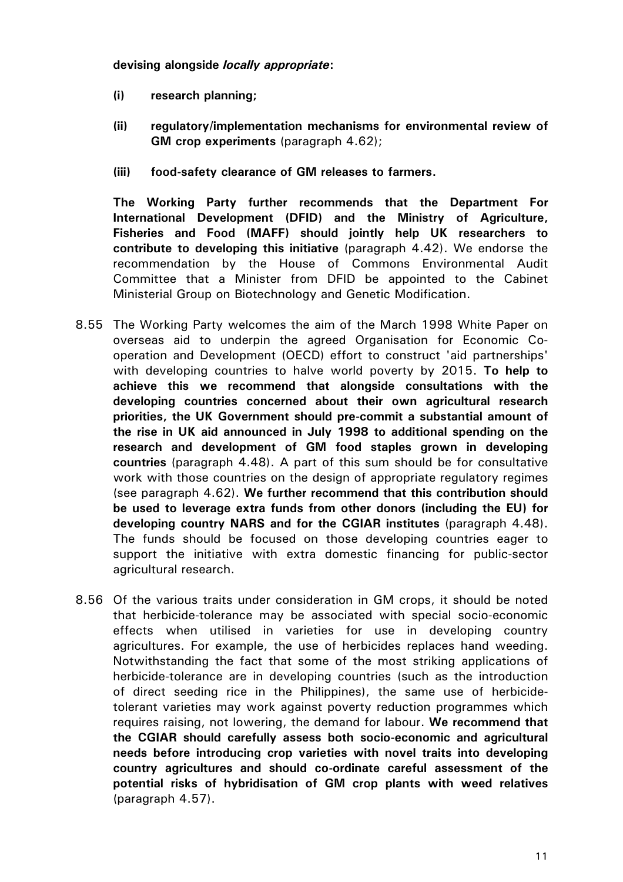**devising alongside** *locally appropriate***:** 

- **(i) research planning;**
- **(ii) regulatory/implementation mechanisms for environmental review of GM crop experiments** (paragraph 4.62);
- **(iii) food-safety clearance of GM releases to farmers.**

**The Working Party further recommends that the Department For International Development (DFID) and the Ministry of Agriculture, Fisheries and Food (MAFF) should jointly help UK researchers to contribute to developing this initiative** (paragraph 4.42). We endorse the recommendation by the House of Commons Environmental Audit Committee that a Minister from DFID be appointed to the Cabinet Ministerial Group on Biotechnology and Genetic Modification.

- 8.55 The Working Party welcomes the aim of the March 1998 White Paper on overseas aid to underpin the agreed Organisation for Economic Cooperation and Development (OECD) effort to construct 'aid partnerships' with developing countries to halve world poverty by 2015. **To help to achieve this we recommend that alongside consultations with the developing countries concerned about their own agricultural research priorities, the UK Government should pre-commit a substantial amount of the rise in UK aid announced in July 1998 to additional spending on the research and development of GM food staples grown in developing countries** (paragraph 4.48). A part of this sum should be for consultative work with those countries on the design of appropriate regulatory regimes (see paragraph 4.62). **We further recommend that this contribution should be used to leverage extra funds from other donors (including the EU) for developing country NARS and for the CGIAR institutes** (paragraph 4.48). The funds should be focused on those developing countries eager to support the initiative with extra domestic financing for public-sector agricultural research.
- 8.56 Of the various traits under consideration in GM crops, it should be noted that herbicide-tolerance may be associated with special socio-economic effects when utilised in varieties for use in developing country agricultures. For example, the use of herbicides replaces hand weeding. Notwithstanding the fact that some of the most striking applications of herbicide-tolerance are in developing countries (such as the introduction of direct seeding rice in the Philippines), the same use of herbicidetolerant varieties may work against poverty reduction programmes which requires raising, not lowering, the demand for labour. **We recommend that the CGIAR should carefully assess both socio-economic and agricultural needs before introducing crop varieties with novel traits into developing country agricultures and should co-ordinate careful assessment of the potential risks of hybridisation of GM crop plants with weed relatives**  (paragraph 4.57).